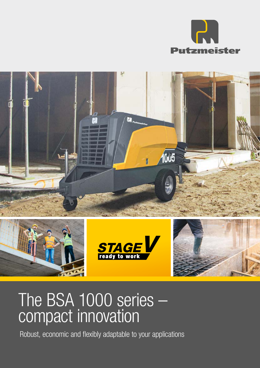



# The BSA 1000 series compact innovation

Robust, economic and flexibly adaptable to your applications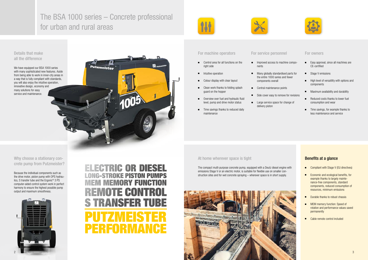# The BSA 1000 series – Concrete professional for urban and rural areas

Putzmeister



# Details that make all the difference

Why choose a stationary concrete pump from Putzmeister?

We have equipped our BSA 1000 series with many sophisticated new features. Aside

from being able to work in inner-city areas in a way that is fully compliant with standards, you will also enjoy the intuitive operation, innovative design, economy and many solutions for easy service and maintenance.

Because the individual components such as the drive motor, piston pump with OPS hydraulics, S transfer tube and the Ergonic® 3 PS computer-aided control system work in perfect harmony to ensure the highest possible pump output and maximum smoothness.



- Control area for all functions on the right side
- Intuitive operation
- Colour display with clear layout
- Clean work thanks to folding splash guard on the hopper
- Overview over fuel and hydraulic fluid level, pump and drive motor status
- Time savings thanks to reduced daily maintenance

- Improved access to machine components
- components overall
- Central maintenance points
- 
- 

# Benefits at a glance

- Compliant with Stage V (EU directives)
- Economic and ecological benefits, for example thanks to largely maintenance-free components, standard components, reduced consumption of resources, minimum emissions
- Durable thanks to robust chassis
- MEM memory function: Speed of rotation and performance values saved permanently
- Cable remote control included
- 
- Large service space for change of delivery piston

# ■ Many globally standardised parts for the entire 1000 series and fewer

- Easy approval, since all machines are CE-certified
- Stage V emissions
- High level of versatility with options and components
- Maximum availability and durability
- Reduced costs thanks to lower fuel consumption and wear
- Time savings, for example thanks to less maintenance and service

# ELECTRIC OR DIESEL LONG-STROKE PISTON PUMPS MEM MEMORY FUNCTION REMOTE CONTROL S TRANSFER TUBE PUTZMEISTER PERFORMANCE

## For machine operators For service personnel For owners

## At home wherever space is tight

The compact multi-purpose concrete pump, equipped with a Deutz diesel engine with emissions Stage V or an electric motor, is suitable for flexible use on smaller construction sites and for wet concrete spraying – wherever space is in short supply.





- 
- 
- 
- Side cover easy to remove for revisions
	-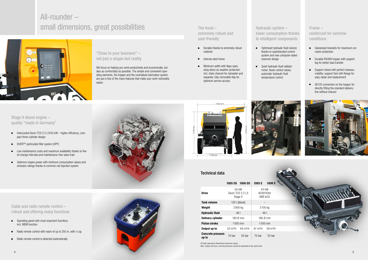



# All-rounder – small dimensions, great possibilities



Stage V diesel engine – quality "made in Germany"

|  |  |  | Cable and radio remote control -   |
|--|--|--|------------------------------------|
|  |  |  | robust and offering many functions |

- Operating panel with most important functions incl. MEM function
- Radio remote control with reach of up to 250 m, with i-Log
- Radio remote control is detected automatically

The hood – extremely robust and user-friendly

# Frame – reinforced for extreme conditions

Hydraulic system – lower consumption thanks to intelligent components

- Intercooled Deutz TCD 2.2 L3/55 kW higher efficiency, compact three-cylinder design
- DVERT<sup>®</sup> particulate filter system (DPF)
- Low maintenance costs and maximum availability thanks to few oil change intervals and maintenance-free valve train
- Optimum engine power with minimum consumption values and emission ratings thanks to common-rail injection system



- Durable thanks to extremely robust material
- Internal steel frame
- Minimum width with flaps open, wing doors as weather protection incl. drain channel for rainwater and separate, fully removable flap for optimum service access
- Galvanised brackets for maximum corrosion protection
- Durable RS488 hopper with support leg for better load transfer
- Support wheel with perfect manoeuvrability, support feet with flange for easy repair and replacement
- SK125 connection on the hopper for directly fitting the standard delivery line without reducer





- Optimised hydraulic fluid volume reservoir design
- Quiet hydraulic fluid radiator motor, fewer control valves, automatic hydraulic fluid temperature control

thanks to sophisticated control system and new computer-aided

1005 D5 1006 D5 1005 E 1006 E

Drive

55 kW Deutz TCD 2.2 L3 Stage V

Tank volume  $120$  I (diesel) –  $-$ **Weight** 2900 kg 3100 kg Hydraulic fluid 46 l 46 l 46 l Delivery cylinder 180 Ø mm 180 Ø mm **Piston stroke** 1 000 mm 1 000 mm **Output up to**  $52 \text{ m}^3/\text{h}$   $64 \text{ m}^3/\text{h}$   $47 \text{ m}^3/\text{h}$   $59 \text{ m}^3/\text{h}$ 

45 kW 400V/50Hz ABB ie03

Concrete pressure

All data represents theoretical maximum values. Max. output and max. concrete pressure cannot be operated at the same time.

**up to**  $\begin{array}{ccc} \text{12.5} \\ \text{13.6} \\ \text{14.7} \end{array}$  To bar  $\begin{array}{ccc} 70 & \text{bar} \\ \text{15.7} \\ \text{16.7} \end{array}$  To bar  $\begin{array}{ccc} 55 & \text{bar} \\ \text{17.7} \\ \text{18.7} \end{array}$ 

## Technical data

"Close to your business" – not just a slogan but reality

We focus on helping you work productively and economically, but also as comfortably as possible. The simple and convenient operating elements, the hopper and the centralised lubrication system are just a few of the many features that make your work noticeably easier.

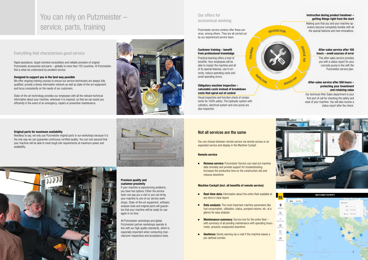# You can rely on Putzmeister – service, parts, training

## Everything that characterises good service

### Original parts for maximum availability

Needless to say, we only use Putzmeister original parts in our workshops because it is the only way we can guarantee continuous certified quality. You can rest assured that your machine will be able to meet tough site requirements at maximum power and availability.

### Premium quality and customer proximity

If your machine is experiencing problems, you have two options: Either the service team can pay you a visit or you can bring your machine to one of our service workshops. State-of-the-art equipment, software analysis tools and original parts will guarantee that your machine will be ready for use again in no time.

We offer ongoing training courses to ensure our service technicians are always fully qualified, provide a dense information network as well as state-of-the-art equipment and focus consistently on the needs of our customers.

> All Putzmeister workshops and global Putzmeister partner workshops operate in line with our high quality standards, which is especially important when conducting manufacturer inspections and acceptance tests.

Rapid assistance, target-oriented consultation and reliable provision of original Putzmeister accessories and parts – globally to more than 120 countries. At Putzmeister, this is what we understand by excellent service.

### Designed to support you in the best way possible

**Remove service:** Putzmeister Service can read out machine data remotely and provide support for troubleshooting. Increases the productive time on the construction site and reduces downtime

State-of-the-art technology provides our employees with all the relevant technical information about your machine, whenever it is required, so that we can assist you efficiently in the event of an emergency, repairs or preventive maintenance.



### Instruction during product handover – getting things right from the start

- Real-time data: Information about the entire fleet available at any time in clear layout
- Data analysis: The most important machine parameters like fuel consumption, utilisation, status, pumped volume, etc. at a glance for easy analysis
- Maintenance summary: Service tool for the entire fleet with summary of all pending maintenance with operating hours meter, prevents unexpected downtime
- Geofence: Sends warning via e-mail if the machine leaves a pre-defined corridor

Making sure that you and your machine operators become completely familiar with all the special features and new innovations.

### After-sales service after 100 hours – avoid sources of error

 $\overline{\phantom{a}}$ 00

**SERVICE 500** 

This after-sales service provides you with a status report for your concrete pump in line with the Putzmeister service plan.

#### Customer training – benefit from professional knowledge

Practical learning offers a host of benefits: Your employees will be able to master the machine and all of its special features, use it correctly, reduce operating costs and avoid operating errors.

### After-sales service after 500 hours – protecting your investment and retaining value

Our technical After Sales department is your first port of call for checking the safety and wear of your machine. You will also receive a status report after the check.





### Obligatory machine inspection – calculable costs instead of breakdown costs that spiral out of control

Visual inspection and function check of components for 100% safety. The hydraulic system with cylinders, electrical system and core pump are also inspected.

### Remote service

### Machine Cockpit (incl. all benefits of remote service)

# Our offers for economical working

## Not all services are the same

Putzmeister service centres offer these services, among others. They are all carried out by our experienced service team.

**TRAINING** 

CTION

**INSTRUCTION** 

You can choose between remote service via remote access or an expanded service and display in the Machine Cockpit

SERVIC E